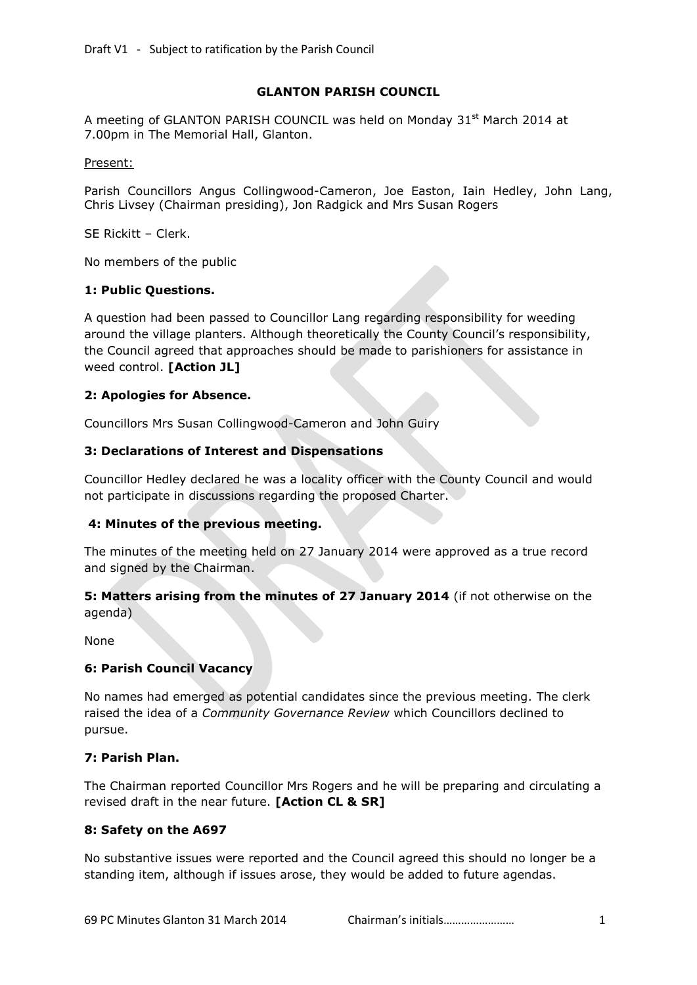## **GLANTON PARISH COUNCIL**

A meeting of GLANTON PARISH COUNCIL was held on Monday 31<sup>st</sup> March 2014 at 7.00pm in The Memorial Hall, Glanton.

#### Present:

Parish Councillors Angus Collingwood-Cameron, Joe Easton, Iain Hedley, John Lang, Chris Livsey (Chairman presiding), Jon Radgick and Mrs Susan Rogers

SE Rickitt – Clerk.

No members of the public

## **1: Public Questions.**

A question had been passed to Councillor Lang regarding responsibility for weeding around the village planters. Although theoretically the County Council's responsibility, the Council agreed that approaches should be made to parishioners for assistance in weed control. **[Action JL]**

### **2: Apologies for Absence.**

Councillors Mrs Susan Collingwood-Cameron and John Guiry

### **3: Declarations of Interest and Dispensations**

Councillor Hedley declared he was a locality officer with the County Council and would not participate in discussions regarding the proposed Charter.

# **4: Minutes of the previous meeting.**

The minutes of the meeting held on 27 January 2014 were approved as a true record and signed by the Chairman.

## **5: Matters arising from the minutes of 27 January 2014** (if not otherwise on the agenda)

None

## **6: Parish Council Vacancy**

No names had emerged as potential candidates since the previous meeting. The clerk raised the idea of a *Community Governance Review* which Councillors declined to pursue.

## **7: Parish Plan.**

The Chairman reported Councillor Mrs Rogers and he will be preparing and circulating a revised draft in the near future. **[Action CL & SR]**

## **8: Safety on the A697**

No substantive issues were reported and the Council agreed this should no longer be a standing item, although if issues arose, they would be added to future agendas.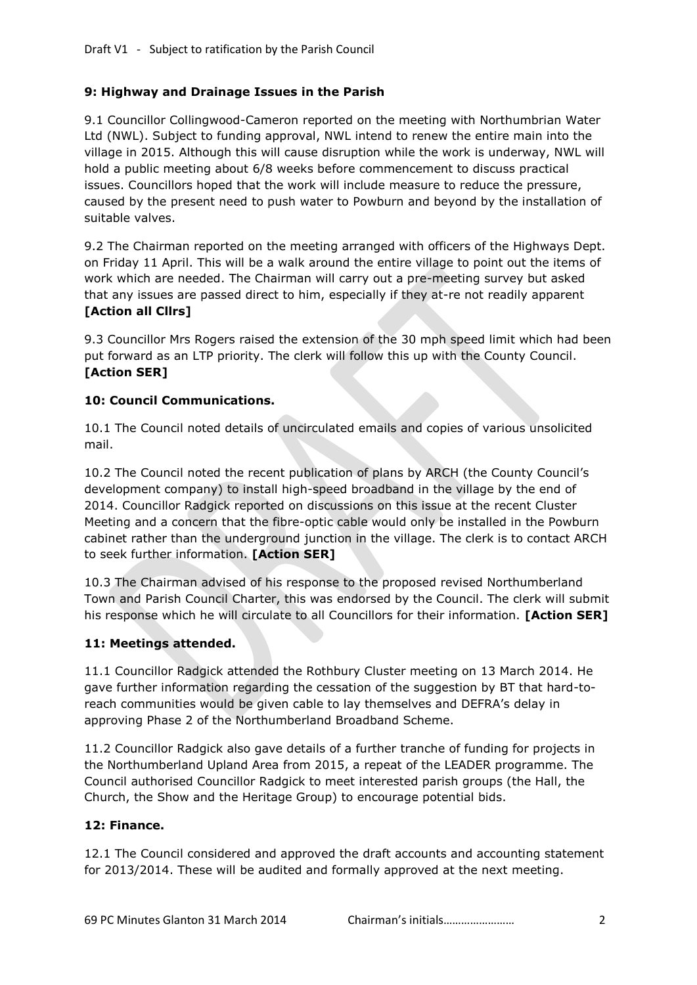# **9: Highway and Drainage Issues in the Parish**

9.1 Councillor Collingwood-Cameron reported on the meeting with Northumbrian Water Ltd (NWL). Subject to funding approval, NWL intend to renew the entire main into the village in 2015. Although this will cause disruption while the work is underway, NWL will hold a public meeting about 6/8 weeks before commencement to discuss practical issues. Councillors hoped that the work will include measure to reduce the pressure, caused by the present need to push water to Powburn and beyond by the installation of suitable valves.

9.2 The Chairman reported on the meeting arranged with officers of the Highways Dept. on Friday 11 April. This will be a walk around the entire village to point out the items of work which are needed. The Chairman will carry out a pre-meeting survey but asked that any issues are passed direct to him, especially if they at-re not readily apparent **[Action all Cllrs]**

9.3 Councillor Mrs Rogers raised the extension of the 30 mph speed limit which had been put forward as an LTP priority. The clerk will follow this up with the County Council. **[Action SER]**

## **10: Council Communications.**

10.1 The Council noted details of uncirculated emails and copies of various unsolicited mail.

10.2 The Council noted the recent publication of plans by ARCH (the County Council's development company) to install high-speed broadband in the village by the end of 2014. Councillor Radgick reported on discussions on this issue at the recent Cluster Meeting and a concern that the fibre-optic cable would only be installed in the Powburn cabinet rather than the underground junction in the village. The clerk is to contact ARCH to seek further information. **[Action SER]**

10.3 The Chairman advised of his response to the proposed revised Northumberland Town and Parish Council Charter, this was endorsed by the Council. The clerk will submit his response which he will circulate to all Councillors for their information. **[Action SER]**

# **11: Meetings attended.**

11.1 Councillor Radgick attended the Rothbury Cluster meeting on 13 March 2014. He gave further information regarding the cessation of the suggestion by BT that hard-toreach communities would be given cable to lay themselves and DEFRA's delay in approving Phase 2 of the Northumberland Broadband Scheme.

11.2 Councillor Radgick also gave details of a further tranche of funding for projects in the Northumberland Upland Area from 2015, a repeat of the LEADER programme. The Council authorised Councillor Radgick to meet interested parish groups (the Hall, the Church, the Show and the Heritage Group) to encourage potential bids.

## **12: Finance.**

12.1 The Council considered and approved the draft accounts and accounting statement for 2013/2014. These will be audited and formally approved at the next meeting.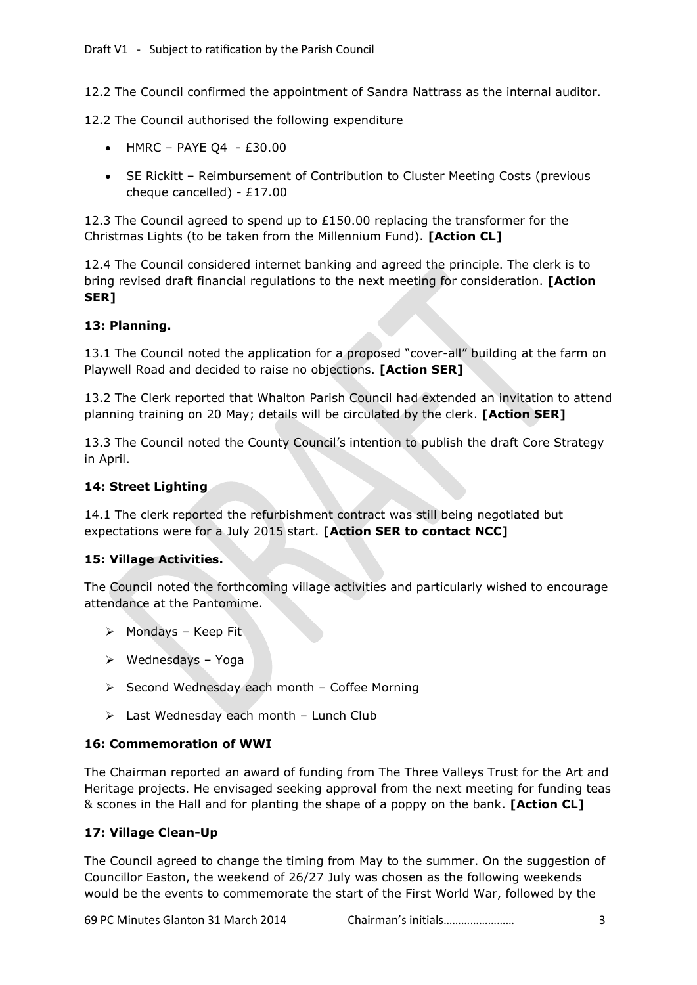12.2 The Council confirmed the appointment of Sandra Nattrass as the internal auditor.

12.2 The Council authorised the following expenditure

- $\bullet$  HMRC PAYE Q4 £30.00
- SE Rickitt Reimbursement of Contribution to Cluster Meeting Costs (previous cheque cancelled) - £17.00

12.3 The Council agreed to spend up to  $£150.00$  replacing the transformer for the Christmas Lights (to be taken from the Millennium Fund). **[Action CL]**

12.4 The Council considered internet banking and agreed the principle. The clerk is to bring revised draft financial regulations to the next meeting for consideration. **[Action SER]**

# **13: Planning.**

13.1 The Council noted the application for a proposed "cover-all" building at the farm on Playwell Road and decided to raise no objections. **[Action SER]**

13.2 The Clerk reported that Whalton Parish Council had extended an invitation to attend planning training on 20 May; details will be circulated by the clerk. **[Action SER]**

13.3 The Council noted the County Council's intention to publish the draft Core Strategy in April.

## **14: Street Lighting**

14.1 The clerk reported the refurbishment contract was still being negotiated but expectations were for a July 2015 start. **[Action SER to contact NCC]**

# **15: Village Activities.**

The Council noted the forthcoming village activities and particularly wished to encourage attendance at the Pantomime.

- $\triangleright$  Mondays Keep Fit
- $\triangleright$  Wednesdays Yoga
- $\triangleright$  Second Wednesday each month Coffee Morning
- $\triangleright$  Last Wednesday each month Lunch Club

## **16: Commemoration of WWI**

The Chairman reported an award of funding from The Three Valleys Trust for the Art and Heritage projects. He envisaged seeking approval from the next meeting for funding teas & scones in the Hall and for planting the shape of a poppy on the bank. **[Action CL]**

## **17: Village Clean-Up**

The Council agreed to change the timing from May to the summer. On the suggestion of Councillor Easton, the weekend of 26/27 July was chosen as the following weekends would be the events to commemorate the start of the First World War, followed by the

69 PC Minutes Glanton 31 March 2014 Chairman's initials…………………… 3